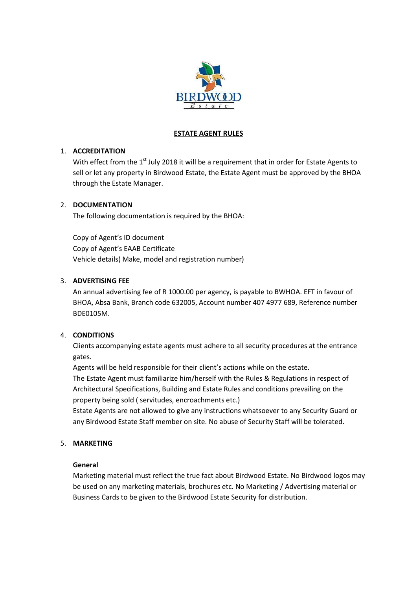

# **ESTATE AGENT RULES**

# 1. **ACCREDITATION**

With effect from the  $1<sup>st</sup>$  July 2018 it will be a requirement that in order for Estate Agents to sell or let any property in Birdwood Estate, the Estate Agent must be approved by the BHOA through the Estate Manager.

# 2. **DOCUMENTATION**

The following documentation is required by the BHOA:

Copy of Agent's ID document Copy of Agent's EAAB Certificate Vehicle details( Make, model and registration number)

## 3. **ADVERTISING FEE**

An annual advertising fee of R 1000.00 per agency, is payable to BWHOA. EFT in favour of BHOA, Absa Bank, Branch code 632005, Account number 407 4977 689, Reference number BDE0105M.

### 4. **CONDITIONS**

Clients accompanying estate agents must adhere to all security procedures at the entrance gates.

Agents will be held responsible for their client's actions while on the estate. The Estate Agent must familiarize him/herself with the Rules & Regulations in respect of Architectural Specifications, Building and Estate Rules and conditions prevailing on the property being sold ( servitudes, encroachments etc.)

Estate Agents are not allowed to give any instructions whatsoever to any Security Guard or any Birdwood Estate Staff member on site. No abuse of Security Staff will be tolerated.

# 5. **MARKETING**

### **General**

Marketing material must reflect the true fact about Birdwood Estate. No Birdwood logos may be used on any marketing materials, brochures etc. No Marketing / Advertising material or Business Cards to be given to the Birdwood Estate Security for distribution.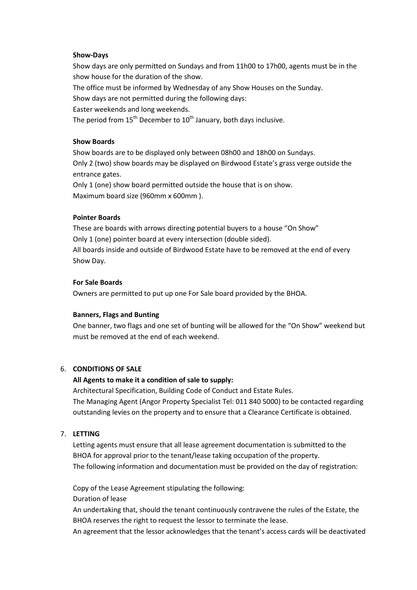#### **Show-Days**

Show days are only permitted on Sundays and from 11h00 to 17h00, agents must be in the show house for the duration of the show.

The office must be informed by Wednesday of any Show Houses on the Sunday.

Show days are not permitted during the following days:

Easter weekends and long weekends.

The period from  $15<sup>th</sup>$  December to  $10<sup>th</sup>$  January, both days inclusive.

#### **Show Boards**

Show boards are to be displayed only between 08h00 and 18h00 on Sundays. Only 2 (two) show boards may be displayed on Birdwood Estate's grass verge outside the entrance gates.

Only 1 (one) show board permitted outside the house that is on show. Maximum board size (960mm x 600mm ).

#### **Pointer Boards**

These are boards with arrows directing potential buyers to a house "On Show" Only 1 (one) pointer board at every intersection (double sided). All boards inside and outside of Birdwood Estate have to be removed at the end of every Show Day.

#### **For Sale Boards**

Owners are permitted to put up one For Sale board provided by the BHOA.

### **Banners, Flags and Bunting**

One banner, two flags and one set of bunting will be allowed for the "On Show" weekend but must be removed at the end of each weekend.

### 6. **CONDITIONS OF SALE**

### **All Agents to make it a condition of sale to supply:**

Architectural Specification, Building Code of Conduct and Estate Rules. The Managing Agent (Angor Property Specialist Tel: 011 840 5000) to be contacted regarding outstanding levies on the property and to ensure that a Clearance Certificate is obtained.

### 7. **LETTING**

Letting agents must ensure that all lease agreement documentation is submitted to the BHOA for approval prior to the tenant/lease taking occupation of the property. The following information and documentation must be provided on the day of registration:

Copy of the Lease Agreement stipulating the following:

Duration of lease

An undertaking that, should the tenant continuously contravene the rules of the Estate, the BHOA reserves the right to request the lessor to terminate the lease.

An agreement that the lessor acknowledges that the tenant's access cards will be deactivated